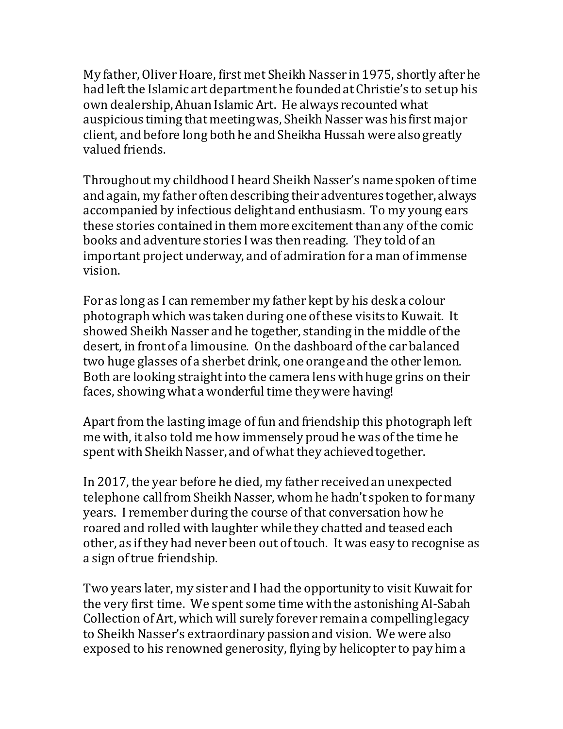My father, Oliver Hoare, first met Sheikh Nasser in 1975, shortly after he had left the Islamic art department he founded at Christie's to set up his own dealership, Ahuan Islamic Art. He always recounted what auspicious timing that meeting was, Sheikh Nasserwas his first major client, and before long both he and Sheikha Hussah were also greatly valued friends.

Throughout my childhood I heard Sheikh Nasser's name spoken oftime and again, my father often describing their adventures together, always accompanied by infectious delight and enthusiasm. To my young ears these stories contained in them more excitement than any of the comic books and adventure stories I was then reading. They told of an important project underway, and of admiration for a man of immense vision.

For as long as I can remember my father kept by his desk a colour photograph which was taken during one of these visits to Kuwait. It showed Sheikh Nasser and he together, standing in the middle of the desert, in front of a limousine. On the dashboard of the car balanced two huge glasses of a sherbet drink, one orange and the other lemon. Both are looking straight into the camera lens with huge grins on their faces, showing what a wonderful time theywere having!

Apart from the lasting image of fun and friendship this photograph left me with, it also told me how immensely proud he was of the time he spent with Sheikh Nasser, and of what they achieved together.

In 2017, the year before he died, my father receivedan unexpected telephone call from Sheikh Nasser, whom he hadn't spoken to for many years. I remember during the course of that conversation how he roared and rolled with laughterwhile they chatted and teased each other, as if they had never been out of touch. It was easy to recognise as a sign of true friendship.

Two years later, my sister and I had the opportunity to visit Kuwait for the very first time. We spent some time with the astonishing Al-Sabah Collection of Art, which will surely forever remain a compelling legacy to Sheikh Nasser's extraordinary passion and vision. We were also exposed to his renowned generosity, flying by helicopter to pay him a